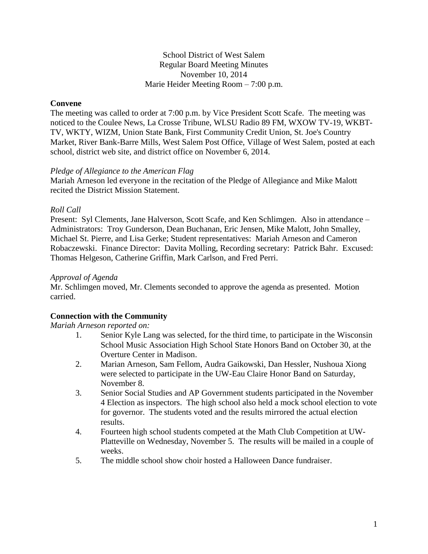### School District of West Salem Regular Board Meeting Minutes November 10, 2014 Marie Heider Meeting Room – 7:00 p.m.

## **Convene**

The meeting was called to order at 7:00 p.m. by Vice President Scott Scafe. The meeting was noticed to the Coulee News, La Crosse Tribune, WLSU Radio 89 FM, WXOW TV-19, WKBT-TV, WKTY, WIZM, Union State Bank, First Community Credit Union, St. Joe's Country Market, River Bank-Barre Mills, West Salem Post Office, Village of West Salem, posted at each school, district web site, and district office on November 6, 2014.

#### *Pledge of Allegiance to the American Flag*

Mariah Arneson led everyone in the recitation of the Pledge of Allegiance and Mike Malott recited the District Mission Statement.

### *Roll Call*

Present: Syl Clements, Jane Halverson, Scott Scafe, and Ken Schlimgen. Also in attendance – Administrators: Troy Gunderson, Dean Buchanan, Eric Jensen, Mike Malott, John Smalley, Michael St. Pierre, and Lisa Gerke; Student representatives: Mariah Arneson and Cameron Robaczewski. Finance Director: Davita Molling, Recording secretary: Patrick Bahr. Excused: Thomas Helgeson, Catherine Griffin, Mark Carlson, and Fred Perri.

### *Approval of Agenda*

Mr. Schlimgen moved, Mr. Clements seconded to approve the agenda as presented. Motion carried.

## **Connection with the Community**

#### *Mariah Arneson reported on:*

- 1. Senior Kyle Lang was selected, for the third time, to participate in the Wisconsin School Music Association High School State Honors Band on October 30, at the Overture Center in Madison.
- 2. Marian Arneson, Sam Fellom, Audra Gaikowski, Dan Hessler, Nushoua Xiong were selected to participate in the UW-Eau Claire Honor Band on Saturday, November 8.
- 3. Senior Social Studies and AP Government students participated in the November 4 Election as inspectors. The high school also held a mock school election to vote for governor. The students voted and the results mirrored the actual election results.
- 4. Fourteen high school students competed at the Math Club Competition at UW-Platteville on Wednesday, November 5. The results will be mailed in a couple of weeks.
- 5. The middle school show choir hosted a Halloween Dance fundraiser.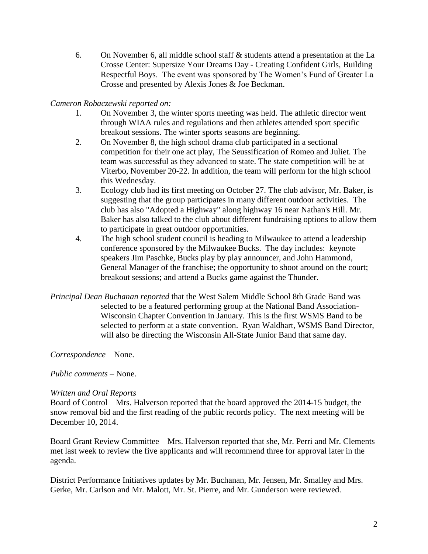6. On November 6, all middle school staff & students attend a presentation at the La Crosse Center: Supersize Your Dreams Day - Creating Confident Girls, Building Respectful Boys. The event was sponsored by The Women's Fund of Greater La Crosse and presented by Alexis Jones & Joe Beckman.

## *Cameron Robaczewski reported on:*

- 1. On November 3, the winter sports meeting was held. The athletic director went through WIAA rules and regulations and then athletes attended sport specific breakout sessions. The winter sports seasons are beginning.
- 2. On November 8, the high school drama club participated in a sectional competition for their one act play, The Seussification of Romeo and Juliet. The team was successful as they advanced to state. The state competition will be at Viterbo, November 20-22. In addition, the team will perform for the high school this Wednesday.
- 3. Ecology club had its first meeting on October 27. The club advisor, Mr. Baker, is suggesting that the group participates in many different outdoor activities. The club has also "Adopted a Highway" along highway 16 near Nathan's Hill. Mr. Baker has also talked to the club about different fundraising options to allow them to participate in great outdoor opportunities.
- 4. The high school student council is heading to Milwaukee to attend a leadership conference sponsored by the Milwaukee Bucks. The day includes: keynote speakers Jim Paschke, Bucks play by play announcer, and John Hammond, General Manager of the franchise; the opportunity to shoot around on the court; breakout sessions; and attend a Bucks game against the Thunder.
- *Principal Dean Buchanan reported* that the West Salem Middle School 8th Grade Band was selected to be a featured performing group at the National Band Association-Wisconsin Chapter Convention in January. This is the first WSMS Band to be selected to perform at a state convention. Ryan Waldhart, WSMS Band Director, will also be directing the Wisconsin All-State Junior Band that same day.

*Correspondence* – None.

*Public comments –* None.

## *Written and Oral Reports*

Board of Control – Mrs. Halverson reported that the board approved the 2014-15 budget, the snow removal bid and the first reading of the public records policy. The next meeting will be December 10, 2014.

Board Grant Review Committee – Mrs. Halverson reported that she, Mr. Perri and Mr. Clements met last week to review the five applicants and will recommend three for approval later in the agenda.

District Performance Initiatives updates by Mr. Buchanan, Mr. Jensen, Mr. Smalley and Mrs. Gerke, Mr. Carlson and Mr. Malott, Mr. St. Pierre, and Mr. Gunderson were reviewed.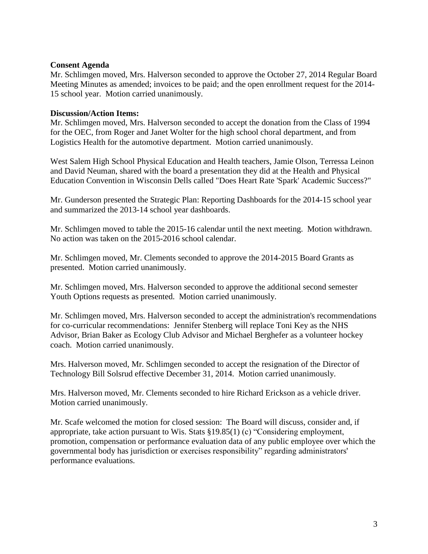#### **Consent Agenda**

Mr. Schlimgen moved, Mrs. Halverson seconded to approve the October 27, 2014 Regular Board Meeting Minutes as amended; invoices to be paid; and the open enrollment request for the 2014- 15 school year. Motion carried unanimously.

### **Discussion/Action Items:**

Mr. Schlimgen moved, Mrs. Halverson seconded to accept the donation from the Class of 1994 for the OEC, from Roger and Janet Wolter for the high school choral department, and from Logistics Health for the automotive department. Motion carried unanimously.

West Salem High School Physical Education and Health teachers, Jamie Olson, Terressa Leinon and David Neuman, shared with the board a presentation they did at the Health and Physical Education Convention in Wisconsin Dells called "Does Heart Rate 'Spark' Academic Success?"

Mr. Gunderson presented the Strategic Plan: Reporting Dashboards for the 2014-15 school year and summarized the 2013-14 school year dashboards.

Mr. Schlimgen moved to table the 2015-16 calendar until the next meeting. Motion withdrawn. No action was taken on the 2015-2016 school calendar.

Mr. Schlimgen moved, Mr. Clements seconded to approve the 2014-2015 Board Grants as presented. Motion carried unanimously.

Mr. Schlimgen moved, Mrs. Halverson seconded to approve the additional second semester Youth Options requests as presented. Motion carried unanimously.

Mr. Schlimgen moved, Mrs. Halverson seconded to accept the administration's recommendations for co-curricular recommendations: Jennifer Stenberg will replace Toni Key as the NHS Advisor, Brian Baker as Ecology Club Advisor and Michael Berghefer as a volunteer hockey coach. Motion carried unanimously.

Mrs. Halverson moved, Mr. Schlimgen seconded to accept the resignation of the Director of Technology Bill Solsrud effective December 31, 2014. Motion carried unanimously.

Mrs. Halverson moved, Mr. Clements seconded to hire Richard Erickson as a vehicle driver. Motion carried unanimously.

Mr. Scafe welcomed the motion for closed session: The Board will discuss, consider and, if appropriate, take action pursuant to Wis. Stats §19.85(1) (c) "Considering employment, promotion, compensation or performance evaluation data of any public employee over which the governmental body has jurisdiction or exercises responsibility" regarding administrators' performance evaluations.